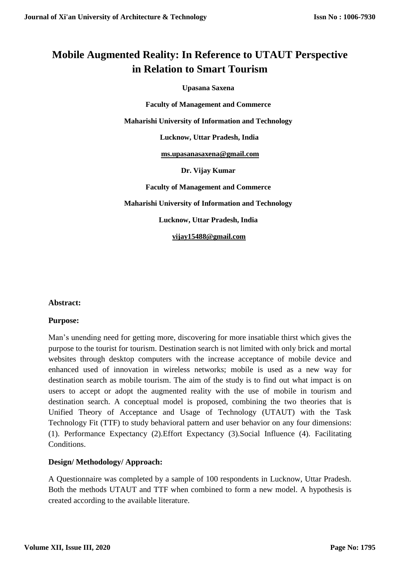# **Mobile Augmented Reality: In Reference to UTAUT Perspective in Relation to Smart Tourism**

**Upasana Saxena**

**Faculty of Management and Commerce**

**Maharishi University of Information and Technology**

 **Lucknow, Uttar Pradesh, India**

 **[ms.upasanasaxena@gmail.com](mailto:ms.upasanasaxena@gmail.com)**

**Dr. Vijay Kumar**

**Faculty of Management and Commerce**

**Maharishi University of Information and Technology**

**Lucknow, Uttar Pradesh, India**

 **[vijay15488@gmail.com](mailto:vijay15488@gmail.com)**

### **Abstract:**

### **Purpose:**

Man's unending need for getting more, discovering for more insatiable thirst which gives the purpose to the tourist for tourism. Destination search is not limited with only brick and mortal websites through desktop computers with the increase acceptance of mobile device and enhanced used of innovation in wireless networks; mobile is used as a new way for destination search as mobile tourism. The aim of the study is to find out what impact is on users to accept or adopt the augmented reality with the use of mobile in tourism and destination search. A conceptual model is proposed, combining the two theories that is Unified Theory of Acceptance and Usage of Technology (UTAUT) with the Task Technology Fit (TTF) to study behavioral pattern and user behavior on any four dimensions: (1). Performance Expectancy (2).Effort Expectancy (3).Social Influence (4). Facilitating Conditions.

### **Design/ Methodology/ Approach:**

A Questionnaire was completed by a sample of 100 respondents in Lucknow, Uttar Pradesh. Both the methods UTAUT and TTF when combined to form a new model. A hypothesis is created according to the available literature.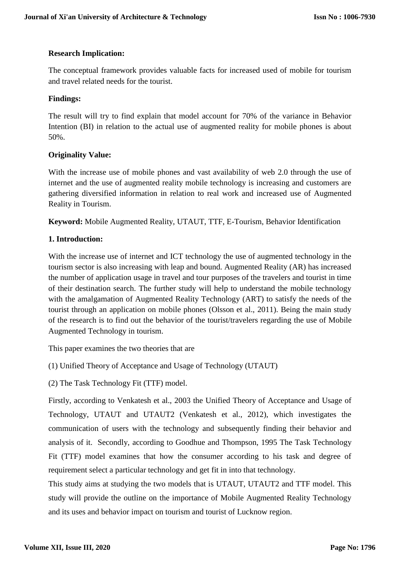### **Research Implication:**

The conceptual framework provides valuable facts for increased used of mobile for tourism and travel related needs for the tourist.

### **Findings:**

The result will try to find explain that model account for 70% of the variance in Behavior Intention (BI) in relation to the actual use of augmented reality for mobile phones is about 50%.

### **Originality Value:**

With the increase use of mobile phones and vast availability of web 2.0 through the use of internet and the use of augmented reality mobile technology is increasing and customers are gathering diversified information in relation to real work and increased use of Augmented Reality in Tourism.

**Keyword:** Mobile Augmented Reality, UTAUT, TTF, E-Tourism, Behavior Identification

### **1. Introduction:**

With the increase use of internet and ICT technology the use of augmented technology in the tourism sector is also increasing with leap and bound. Augmented Reality (AR) has increased the number of application usage in travel and tour purposes of the travelers and tourist in time of their destination search. The further study will help to understand the mobile technology with the amalgamation of Augmented Reality Technology (ART) to satisfy the needs of the tourist through an application on mobile phones (Olsson et al., 2011). Being the main study of the research is to find out the behavior of the tourist/travelers regarding the use of Mobile Augmented Technology in tourism.

This paper examines the two theories that are

(1) Unified Theory of Acceptance and Usage of Technology (UTAUT)

(2) The Task Technology Fit (TTF) model.

Firstly, according to Venkatesh et al., 2003 the Unified Theory of Acceptance and Usage of Technology, UTAUT and UTAUT2 (Venkatesh et al., 2012), which investigates the communication of users with the technology and subsequently finding their behavior and analysis of it. Secondly, according to Goodhue and Thompson, 1995 The Task Technology Fit (TTF) model examines that how the consumer according to his task and degree of requirement select a particular technology and get fit in into that technology.

This study aims at studying the two models that is UTAUT, UTAUT2 and TTF model. This study will provide the outline on the importance of Mobile Augmented Reality Technology and its uses and behavior impact on tourism and tourist of Lucknow region.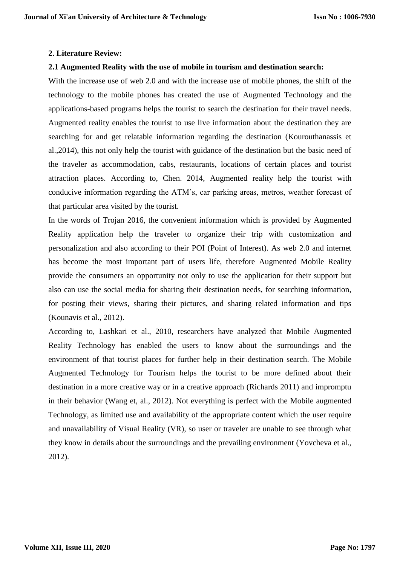### **2. Literature Review:**

### **2.1 Augmented Reality with the use of mobile in tourism and destination search:**

With the increase use of web 2.0 and with the increase use of mobile phones, the shift of the technology to the mobile phones has created the use of Augmented Technology and the applications-based programs helps the tourist to search the destination for their travel needs. Augmented reality enables the tourist to use live information about the destination they are searching for and get relatable information regarding the destination (Kourouthanassis et al.,2014), this not only help the tourist with guidance of the destination but the basic need of the traveler as accommodation, cabs, restaurants, locations of certain places and tourist attraction places. According to, Chen. 2014, Augmented reality help the tourist with conducive information regarding the ATM's, car parking areas, metros, weather forecast of that particular area visited by the tourist.

In the words of Trojan 2016, the convenient information which is provided by Augmented Reality application help the traveler to organize their trip with customization and personalization and also according to their POI (Point of Interest). As web 2.0 and internet has become the most important part of users life, therefore Augmented Mobile Reality provide the consumers an opportunity not only to use the application for their support but also can use the social media for sharing their destination needs, for searching information, for posting their views, sharing their pictures, and sharing related information and tips (Kounavis et al., 2012).

According to, Lashkari et al., 2010, researchers have analyzed that Mobile Augmented Reality Technology has enabled the users to know about the surroundings and the environment of that tourist places for further help in their destination search. The Mobile Augmented Technology for Tourism helps the tourist to be more defined about their destination in a more creative way or in a creative approach (Richards 2011) and impromptu in their behavior (Wang et, al., 2012). Not everything is perfect with the Mobile augmented Technology, as limited use and availability of the appropriate content which the user require and unavailability of Visual Reality (VR), so user or traveler are unable to see through what they know in details about the surroundings and the prevailing environment (Yovcheva et al., 2012).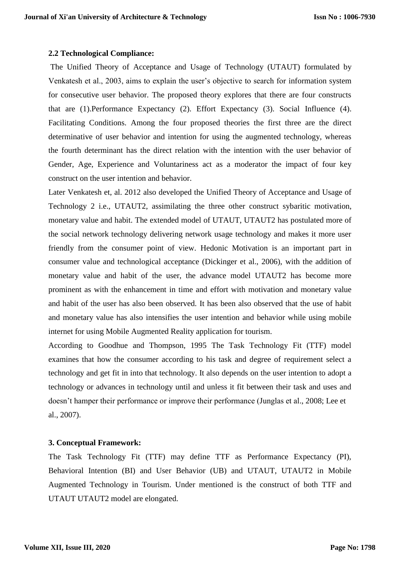### **2.2 Technological Compliance:**

The Unified Theory of Acceptance and Usage of Technology (UTAUT) formulated by Venkatesh et al., 2003, aims to explain the user's objective to search for information system for consecutive user behavior. The proposed theory explores that there are four constructs that are (1).Performance Expectancy (2). Effort Expectancy (3). Social Influence (4). Facilitating Conditions. Among the four proposed theories the first three are the direct determinative of user behavior and intention for using the augmented technology, whereas the fourth determinant has the direct relation with the intention with the user behavior of Gender, Age, Experience and Voluntariness act as a moderator the impact of four key construct on the user intention and behavior.

Later Venkatesh et, al. 2012 also developed the Unified Theory of Acceptance and Usage of Technology 2 i.e., UTAUT2, assimilating the three other construct sybaritic motivation, monetary value and habit. The extended model of UTAUT, UTAUT2 has postulated more of the social network technology delivering network usage technology and makes it more user friendly from the consumer point of view. Hedonic Motivation is an important part in consumer value and technological acceptance (Dickinger et al., 2006), with the addition of monetary value and habit of the user, the advance model UTAUT2 has become more prominent as with the enhancement in time and effort with motivation and monetary value and habit of the user has also been observed. It has been also observed that the use of habit and monetary value has also intensifies the user intention and behavior while using mobile internet for using Mobile Augmented Reality application for tourism.

According to Goodhue and Thompson, 1995 The Task Technology Fit (TTF) model examines that how the consumer according to his task and degree of requirement select a technology and get fit in into that technology. It also depends on the user intention to adopt a technology or advances in technology until and unless it fit between their task and uses and doesn't hamper their performance or improve their performance (Junglas et al., 2008; Lee et al., 2007).

### **3. Conceptual Framework:**

The Task Technology Fit (TTF) may define TTF as Performance Expectancy (PI), Behavioral Intention (BI) and User Behavior (UB) and UTAUT, UTAUT2 in Mobile Augmented Technology in Tourism. Under mentioned is the construct of both TTF and UTAUT UTAUT2 model are elongated.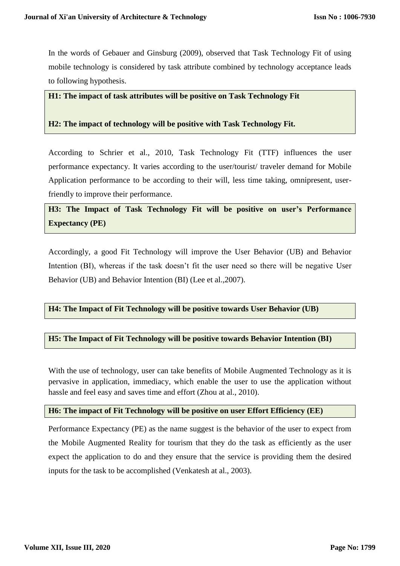In the words of Gebauer and Ginsburg (2009), observed that Task Technology Fit of using mobile technology is considered by task attribute combined by technology acceptance leads to following hypothesis.

### **H1: The impact of task attributes will be positive on Task Technology Fit**

### **H2: The impact of technology will be positive with Task Technology Fit.**

According to Schrier et al., 2010, Task Technology Fit (TTF) influences the user performance expectancy. It varies according to the user/tourist/ traveler demand for Mobile Application performance to be according to their will, less time taking, omnipresent, userfriendly to improve their performance.

## **H3: The Impact of Task Technology Fit will be positive on user's Performance Expectancy (PE)**

Accordingly, a good Fit Technology will improve the User Behavior (UB) and Behavior Intention (BI), whereas if the task doesn't fit the user need so there will be negative User Behavior (UB) and Behavior Intention (BI) (Lee et al.,2007).

### **H4: The Impact of Fit Technology will be positive towards User Behavior (UB)**

### **H5: The Impact of Fit Technology will be positive towards Behavior Intention (BI)**

With the use of technology, user can take benefits of Mobile Augmented Technology as it is pervasive in application, immediacy, which enable the user to use the application without hassle and feel easy and saves time and effort (Zhou at al., 2010).

### **H6: The impact of Fit Technology will be positive on user Effort Efficiency (EE)**

Performance Expectancy (PE) as the name suggest is the behavior of the user to expect from the Mobile Augmented Reality for tourism that they do the task as efficiently as the user expect the application to do and they ensure that the service is providing them the desired inputs for the task to be accomplished (Venkatesh at al., 2003).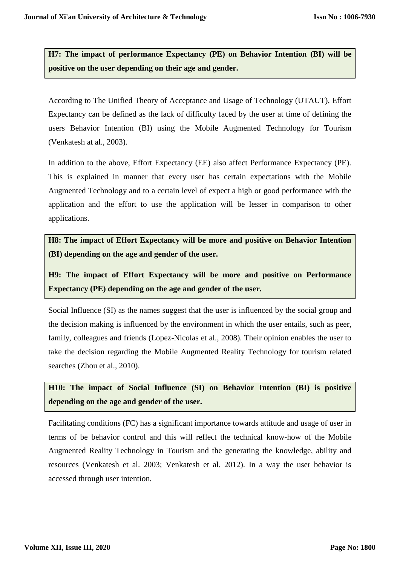**H7: The impact of performance Expectancy (PE) on Behavior Intention (BI) will be positive on the user depending on their age and gender.**

According to The Unified Theory of Acceptance and Usage of Technology (UTAUT), Effort Expectancy can be defined as the lack of difficulty faced by the user at time of defining the users Behavior Intention (BI) using the Mobile Augmented Technology for Tourism (Venkatesh at al., 2003).

In addition to the above, Effort Expectancy (EE) also affect Performance Expectancy (PE). This is explained in manner that every user has certain expectations with the Mobile Augmented Technology and to a certain level of expect a high or good performance with the application and the effort to use the application will be lesser in comparison to other applications.

**H8: The impact of Effort Expectancy will be more and positive on Behavior Intention (BI) depending on the age and gender of the user.**

**H9: The impact of Effort Expectancy will be more and positive on Performance Expectancy (PE) depending on the age and gender of the user.**

Social Influence (SI) as the names suggest that the user is influenced by the social group and the decision making is influenced by the environment in which the user entails, such as peer, family, colleagues and friends (Lopez-Nicolas et al., 2008). Their opinion enables the user to take the decision regarding the Mobile Augmented Reality Technology for tourism related searches (Zhou et al., 2010).

**H10: The impact of Social Influence (SI) on Behavior Intention (BI) is positive depending on the age and gender of the user.**

Facilitating conditions (FC) has a significant importance towards attitude and usage of user in terms of be behavior control and this will reflect the technical know-how of the Mobile Augmented Reality Technology in Tourism and the generating the knowledge, ability and resources (Venkatesh et al. 2003; Venkatesh et al. 2012). In a way the user behavior is accessed through user intention.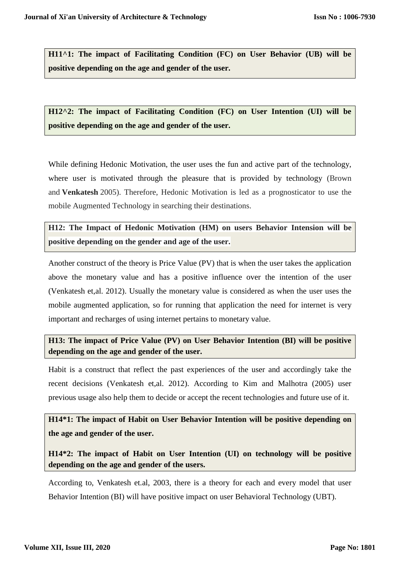**H11^1: The impact of Facilitating Condition (FC) on User Behavior (UB) will be positive depending on the age and gender of the user.**

**H12^2: The impact of Facilitating Condition (FC) on User Intention (UI) will be positive depending on the age and gender of the user.**

While defining Hedonic Motivation, the user uses the fun and active part of the technology, where user is motivated through the pleasure that is provided by technology (Brown and **Venkatesh** 2005). Therefore, Hedonic Motivation is led as a prognosticator to use the mobile Augmented Technology in searching their destinations.

**H12: The Impact of Hedonic Motivation (HM) on users Behavior Intension will be positive depending on the gender and age of the user.**

Another construct of the theory is Price Value (PV) that is when the user takes the application above the monetary value and has a positive influence over the intention of the user (Venkatesh et,al. 2012). Usually the monetary value is considered as when the user uses the mobile augmented application, so for running that application the need for internet is very important and recharges of using internet pertains to monetary value.

**H13: The impact of Price Value (PV) on User Behavior Intention (BI) will be positive depending on the age and gender of the user.**

Habit is a construct that reflect the past experiences of the user and accordingly take the recent decisions (Venkatesh et,al. 2012). According to Kim and Malhotra (2005) user previous usage also help them to decide or accept the recent technologies and future use of it.

**H14\*1: The impact of Habit on User Behavior Intention will be positive depending on the age and gender of the user.**

**H14\*2: The impact of Habit on User Intention (UI) on technology will be positive depending on the age and gender of the users.**

According to, Venkatesh et.al, 2003, there is a theory for each and every model that user Behavior Intention (BI) will have positive impact on user Behavioral Technology (UBT).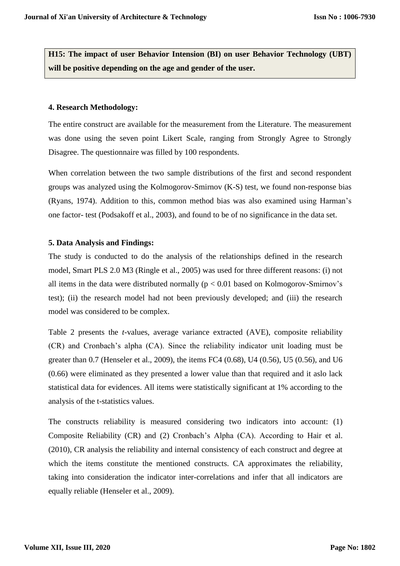**H15: The impact of user Behavior Intension (BI) on user Behavior Technology (UBT) will be positive depending on the age and gender of the user.**

#### **4. Research Methodology:**

The entire construct are available for the measurement from the Literature. The measurement was done using the seven point Likert Scale, ranging from Strongly Agree to Strongly Disagree. The questionnaire was filled by 100 respondents.

When correlation between the two sample distributions of the first and second respondent groups was analyzed using the Kolmogorov-Smirnov (K-S) test, we found non-response bias (Ryans, 1974). Addition to this, common method bias was also examined using Harman's one factor- test (Podsakoff et al., 2003), and found to be of no significance in the data set.

### **5. Data Analysis and Findings:**

The study is conducted to do the analysis of the relationships defined in the research model, Smart PLS 2.0 M3 (Ringle et al., 2005) was used for three different reasons: (i) not all items in the data were distributed normally ( $p < 0.01$  based on Kolmogorov-Smirnov's test); (ii) the research model had not been previously developed; and (iii) the research model was considered to be complex.

Table 2 presents the *t-*values, average variance extracted (AVE), composite reliability (CR) and Cronbach's alpha (CA). Since the reliability indicator unit loading must be greater than 0.7 (Henseler et al., 2009), the items FC4 (0.68), U4 (0.56), U5 (0.56), and U6 (0.66) were eliminated as they presented a lower value than that required and it aslo lack statistical data for evidences. All items were statistically significant at 1% according to the analysis of the t-statistics values.

The constructs reliability is measured considering two indicators into account: (1) Composite Reliability (CR) and (2) Cronbach's Alpha (CA). According to Hair et al. (2010), CR analysis the reliability and internal consistency of each construct and degree at which the items constitute the mentioned constructs. CA approximates the reliability, taking into consideration the indicator inter-correlations and infer that all indicators are equally reliable (Henseler et al., 2009).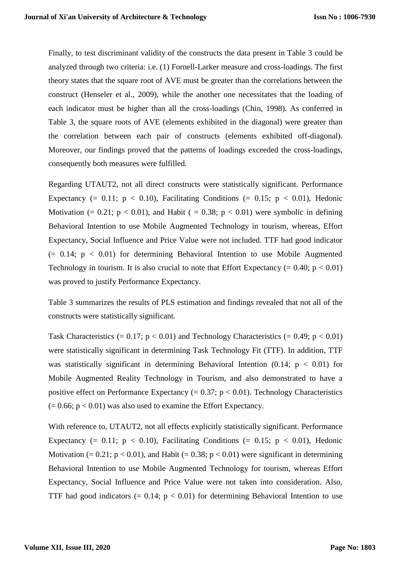Finally, to test discriminant validity of the constructs the data present in Table 3 could be analyzed through two criteria: i.e. (1) Fornell-Larker measure and cross-loadings. The first theory states that the square root of AVE must be greater than the correlations between the construct (Henseler et al., 2009), while the another one necessitates that the loading of each indicator must be higher than all the cross-loadings (Chin, 1998). As conferred in Table 3, the square roots of AVE (elements exhibited in the diagonal) were greater than the correlation between each pair of constructs (elements exhibited off-diagonal). Moreover, our findings proved that the patterns of loadings exceeded the cross-loadings, consequently both measures were fulfilled.

Regarding UTAUT2, not all direct constructs were statistically significant. Performance Expectancy (= 0.11;  $p < 0.10$ ), Facilitating Conditions (= 0.15;  $p < 0.01$ ), Hedonic Motivation (= 0.21;  $p < 0.01$ ), and Habit (= 0.38;  $p < 0.01$ ) were symbolic in defining Behavioral Intention to use Mobile Augmented Technology in tourism, whereas, Effort Expectancy, Social Influence and Price Value were not included. TTF had good indicator  $(= 0.14; p < 0.01)$  for determining Behavioral Intention to use Mobile Augmented Technology in tourism. It is also crucial to note that Effort Expectancy  $(= 0.40; p < 0.01)$ was proved to justify Performance Expectancy.

Table 3 summarizes the results of PLS estimation and findings revealed that not all of the constructs were statistically significant.

Task Characteristics  $(= 0.17; p < 0.01)$  and Technology Characteristics  $(= 0.49; p < 0.01)$ were statistically significant in determining Task Technology Fit (TTF). In addition, TTF was statistically significant in determining Behavioral Intention  $(0.14; p < 0.01)$  for Mobile Augmented Reality Technology in Tourism, and also demonstrated to have a positive effect on Performance Expectancy  $(= 0.37; p < 0.01)$ . Technology Characteristics  $(= 0.66; p < 0.01)$  was also used to examine the Effort Expectancy.

With reference to, UTAUT2, not all effects explicitly statistically significant. Performance Expectancy (= 0.11;  $p < 0.10$ ), Facilitating Conditions (= 0.15;  $p < 0.01$ ), Hedonic Motivation (=  $0.21$ ; p <  $0.01$ ), and Habit (=  $0.38$ ; p <  $0.01$ ) were significant in determining Behavioral Intention to use Mobile Augmented Technology for tourism, whereas Effort Expectancy, Social Influence and Price Value were not taken into consideration. Also, TTF had good indicators  $(= 0.14; p < 0.01)$  for determining Behavioral Intention to use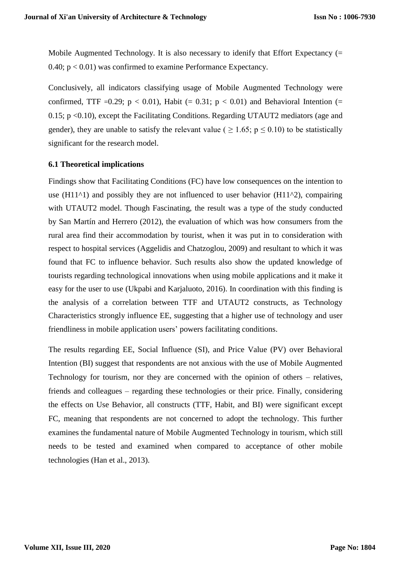Mobile Augmented Technology. It is also necessary to idenify that Effort Expectancy (= 0.40;  $p < 0.01$ ) was confirmed to examine Performance Expectancy.

Conclusively, all indicators classifying usage of Mobile Augmented Technology were confirmed, TTF =0.29;  $p < 0.01$ ), Habit (= 0.31;  $p < 0.01$ ) and Behavioral Intention (= 0.15; p <0.10), except the Facilitating Conditions. Regarding UTAUT2 mediators (age and gender), they are unable to satisfy the relevant value (  $\geq 1.65$ ;  $p \leq 0.10$ ) to be statistically significant for the research model.

### **6.1 Theoretical implications**

Findings show that Facilitating Conditions (FC) have low consequences on the intention to use (H11^1) and possibly they are not influenced to user behavior (H11^2), compairing with UTAUT2 model. Though Fascinating, the result was a type of the study conducted by San Martín and Herrero (2012), the evaluation of which was how consumers from the rural area find their accommodation by tourist, when it was put in to consideration with respect to hospital services (Aggelidis and Chatzoglou, 2009) and resultant to which it was found that FC to influence behavior. Such results also show the updated knowledge of tourists regarding technological innovations when using mobile applications and it make it easy for the user to use (Ukpabi and Karjaluoto, 2016). In coordination with this finding is the analysis of a correlation between TTF and UTAUT2 constructs, as Technology Characteristics strongly influence EE, suggesting that a higher use of technology and user friendliness in mobile application users' powers facilitating conditions.

The results regarding EE, Social Influence (SI), and Price Value (PV) over Behavioral Intention (BI) suggest that respondents are not anxious with the use of Mobile Augmented Technology for tourism, nor they are concerned with the opinion of others – relatives, friends and colleagues – regarding these technologies or their price. Finally, considering the effects on Use Behavior, all constructs (TTF, Habit, and BI) were significant except FC, meaning that respondents are not concerned to adopt the technology. This further examines the fundamental nature of Mobile Augmented Technology in tourism, which still needs to be tested and examined when compared to acceptance of other mobile technologies (Han et al., 2013).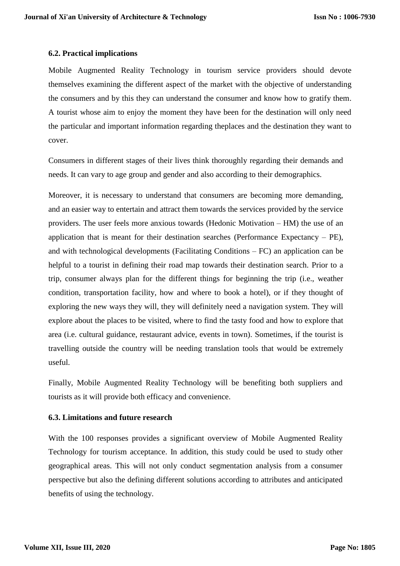### **6.2. Practical implications**

Mobile Augmented Reality Technology in tourism service providers should devote themselves examining the different aspect of the market with the objective of understanding the consumers and by this they can understand the consumer and know how to gratify them. A tourist whose aim to enjoy the moment they have been for the destination will only need the particular and important information regarding theplaces and the destination they want to cover.

Consumers in different stages of their lives think thoroughly regarding their demands and needs. It can vary to age group and gender and also according to their demographics.

Moreover, it is necessary to understand that consumers are becoming more demanding, and an easier way to entertain and attract them towards the services provided by the service providers. The user feels more anxious towards (Hedonic Motivation – HM) the use of an application that is meant for their destination searches (Performance Expectancy – PE), and with technological developments (Facilitating Conditions – FC) an application can be helpful to a tourist in defining their road map towards their destination search. Prior to a trip, consumer always plan for the different things for beginning the trip (i.e., weather condition, transportation facility, how and where to book a hotel), or if they thought of exploring the new ways they will, they will definitely need a navigation system. They will explore about the places to be visited, where to find the tasty food and how to explore that area (i.e. cultural guidance, restaurant advice, events in town). Sometimes, if the tourist is travelling outside the country will be needing translation tools that would be extremely useful.

Finally, Mobile Augmented Reality Technology will be benefiting both suppliers and tourists as it will provide both efficacy and convenience.

### **6.3. Limitations and future research**

With the 100 responses provides a significant overview of Mobile Augmented Reality Technology for tourism acceptance. In addition, this study could be used to study other geographical areas. This will not only conduct segmentation analysis from a consumer perspective but also the defining different solutions according to attributes and anticipated benefits of using the technology.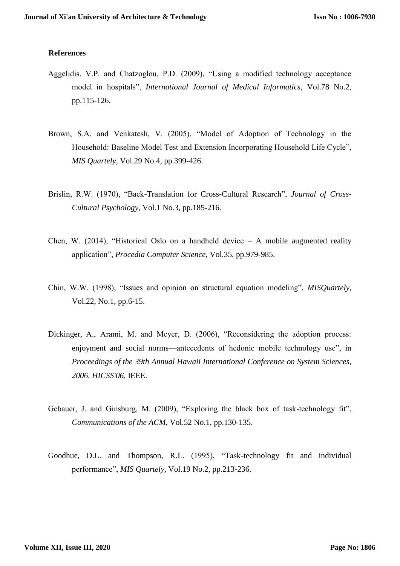### **References**

- Aggelidis, V.P. and Chatzoglou, P.D. (2009), "Using a modified technology acceptance model in hospitals", *International Journal of Medical Informatics*, Vol.78 No.2, pp.115-126.
- Brown, S.A. and Venkatesh, V. (2005), "Model of Adoption of Technology in the Household: Baseline Model Test and Extension Incorporating Household Life Cycle", *MIS Quartely*, Vol.29 No.4, pp.399-426.
- Brislin, R.W. (1970), "Back-Translation for Cross-Cultural Research", *Journal of Cross-Cultural Psychology*, Vol.1 No.3, pp.185-216.
- Chen, W. (2014), "Historical Oslo on a handheld device A mobile augmented reality application", *Procedia Computer Science*, Vol.35, pp.979-985.
- Chin, W.W. (1998), "Issues and opinion on structural equation modeling", *MISQuartely*, Vol.22, No.1, pp.6-15.
- Dickinger, A., Arami, M. and Meyer, D. (2006), "Reconsidering the adoption process: enjoyment and social norms—antecedents of hedonic mobile technology use", in *Proceedings of the 39th Annual Hawaii International Conference on System Sciences, 2006. HICSS'06*, IEEE.
- Gebauer, J. and Ginsburg, M. (2009), "Exploring the black box of task-technology fit", *Communications of the ACM*, Vol.52 No.1, pp.130-135.
- Goodhue, D.L. and Thompson, R.L. (1995), "Task-technology fit and individual performance", *MIS Quartely*, Vol.19 No.2, pp.213-236.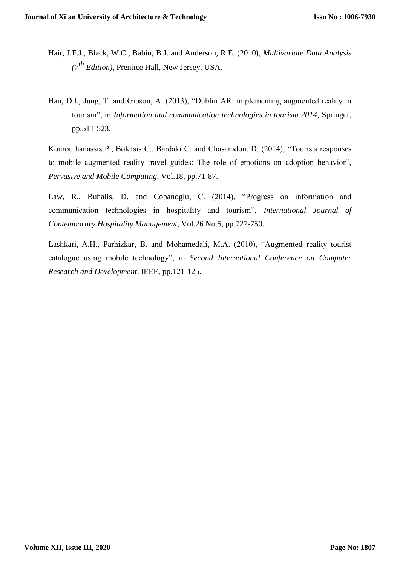- Hair, J.F.J., Black, W.C., Babin, B.J. and Anderson, R.E. (2010), *Multivariate Data Analysis (7th Edition)*, Prentice Hall, New Jersey, USA.
- Han, D.I., Jung, T. and Gibson, A. (2013), "Dublin AR: implementing augmented reality in tourism", in *Information and communication technologies in tourism 2014*, Springer, pp.511-523.

Kourouthanassis P., Boletsis C., Bardaki C. and Chasanidou, D. (2014), "Tourists responses to mobile augmented reality travel guides: The role of emotions on adoption behavior", *Pervasive and Mobile Computing*, Vol.18, pp.71-87.

Law, R., Buhalis, D. and Cobanoglu, C. (2014), "Progress on information and communication technologies in hospitality and tourism", *International Journal of Contemporary Hospitality Management*, Vol.26 No.5, pp.727-750.

Lashkari, A.H., Parhizkar, B. and Mohamedali, M.A. (2010), "Augmented reality tourist catalogue using mobile technology", in *Second International Conference on Computer Research and Development*, IEEE, pp.121-125.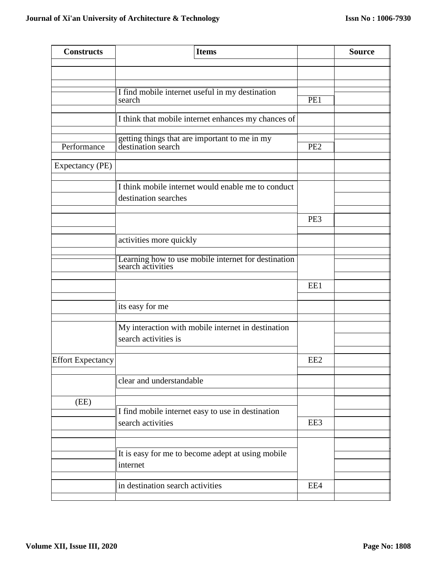| <b>Constructs</b>        | <b>Items</b>                                                               |                 | <b>Source</b> |
|--------------------------|----------------------------------------------------------------------------|-----------------|---------------|
|                          |                                                                            |                 |               |
|                          |                                                                            |                 |               |
|                          | I find mobile internet useful in my destination<br>search                  | PE1             |               |
|                          | I think that mobile internet enhances my chances of                        |                 |               |
|                          | getting things that are important to me in my                              |                 |               |
| Performance              | destination search                                                         | PE <sub>2</sub> |               |
| Expectancy (PE)          |                                                                            |                 |               |
|                          | I think mobile internet would enable me to conduct<br>destination searches |                 |               |
|                          |                                                                            | PE3             |               |
|                          | activities more quickly                                                    |                 |               |
|                          | Learning how to use mobile internet for destination<br>search activities   |                 |               |
|                          |                                                                            | EE1             |               |
|                          | its easy for me                                                            |                 |               |
|                          | My interaction with mobile internet in destination<br>search activities is |                 |               |
| <b>Effort Expectancy</b> |                                                                            | EE <sub>2</sub> |               |
|                          | clear and understandable                                                   |                 |               |
| (EE)                     |                                                                            |                 |               |
|                          | I find mobile internet easy to use in destination                          |                 |               |
|                          | search activities                                                          | EE3             |               |
|                          |                                                                            |                 |               |
|                          | It is easy for me to become adept at using mobile<br>internet              |                 |               |
|                          | in destination search activities                                           | EE4             |               |
|                          |                                                                            |                 |               |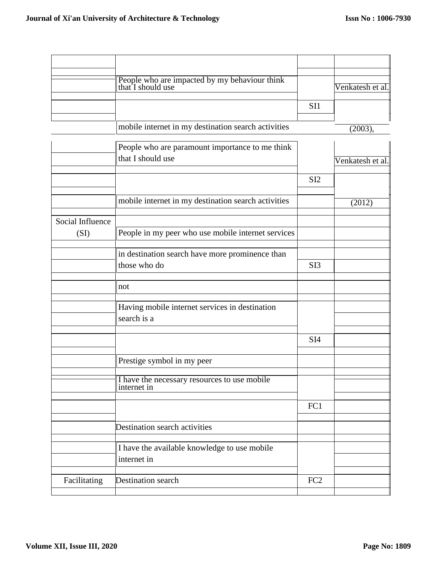|                  | People who are impacted by my behaviour think<br>that I should use |                 | Venkatesh et al. |
|------------------|--------------------------------------------------------------------|-----------------|------------------|
|                  |                                                                    | SI1             |                  |
|                  | mobile internet in my destination search activities                |                 | (2003),          |
|                  | People who are paramount importance to me think                    |                 |                  |
|                  | that I should use                                                  |                 | Venkatesh et al  |
|                  |                                                                    | SI <sub>2</sub> |                  |
|                  | mobile internet in my destination search activities                |                 | (2012)           |
| Social Influence |                                                                    |                 |                  |
| (SI)             | People in my peer who use mobile internet services                 |                 |                  |
|                  | in destination search have more prominence than<br>those who do    | SI <sub>3</sub> |                  |
|                  |                                                                    |                 |                  |
|                  | not                                                                |                 |                  |
|                  | Having mobile internet services in destination<br>search is a      |                 |                  |
|                  |                                                                    | SI <sub>4</sub> |                  |
|                  | Prestige symbol in my peer                                         |                 |                  |
|                  | I have the necessary resources to use mobile<br>internet in        |                 |                  |
|                  |                                                                    | FC1             |                  |
|                  | Destination search activities                                      |                 |                  |
|                  | I have the available knowledge to use mobile<br>internet in        |                 |                  |
| Facilitating     | Destination search                                                 | FC <sub>2</sub> |                  |
|                  |                                                                    |                 |                  |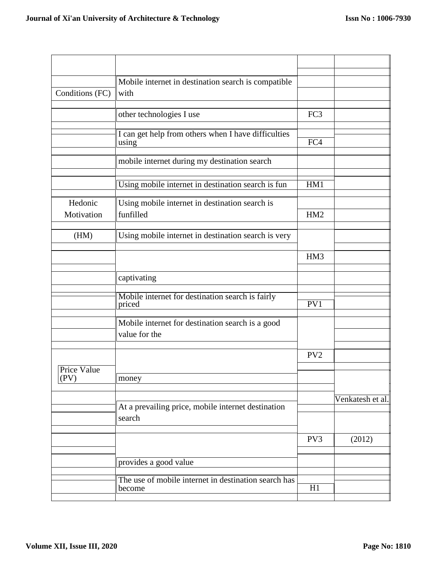|                     | Mobile internet in destination search is compatible.              |                 |                  |
|---------------------|-------------------------------------------------------------------|-----------------|------------------|
| Conditions (FC)     | with                                                              |                 |                  |
|                     | other technologies I use                                          | FC3             |                  |
|                     | I can get help from others when I have difficulties               |                 |                  |
|                     | using                                                             | FC4             |                  |
|                     | mobile internet during my destination search                      |                 |                  |
|                     | Using mobile internet in destination search is fun                | HM1             |                  |
| Hedonic             | Using mobile internet in destination search is                    |                 |                  |
| Motivation          | funfilled                                                         | HM <sub>2</sub> |                  |
| (HM)                | Using mobile internet in destination search is very               |                 |                  |
|                     |                                                                   | HM3             |                  |
|                     | captivating                                                       |                 |                  |
|                     | Mobile internet for destination search is fairly<br>priced        | PV1             |                  |
|                     | Mobile internet for destination search is a good<br>value for the |                 |                  |
|                     |                                                                   | PV <sub>2</sub> |                  |
| Price Value<br>(PV) | money                                                             |                 |                  |
|                     | At a prevailing price, mobile internet destination                |                 | Venkatesh et al. |
|                     | search                                                            |                 |                  |
|                     |                                                                   | PV3             | (2012)           |
|                     | provides a good value                                             |                 |                  |
|                     | The use of mobile internet in destination search has<br>become    | H1              |                  |
|                     |                                                                   |                 |                  |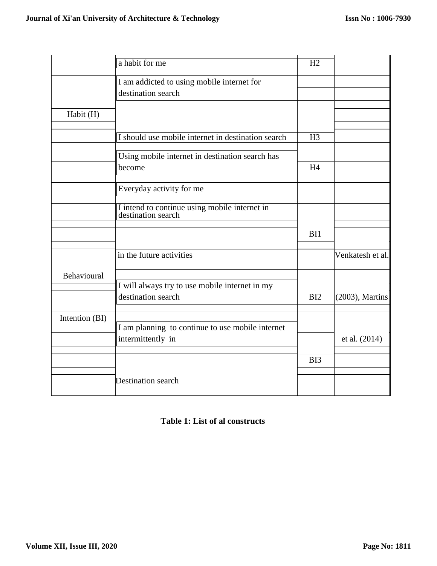|                | a habit for me                                                      | H2             |                  |
|----------------|---------------------------------------------------------------------|----------------|------------------|
|                | I am addicted to using mobile internet for                          |                |                  |
|                | destination search                                                  |                |                  |
|                |                                                                     |                |                  |
| Habit (H)      |                                                                     |                |                  |
|                | I should use mobile internet in destination search                  | H <sub>3</sub> |                  |
|                | Using mobile internet in destination search has                     |                |                  |
|                | become                                                              | H <sub>4</sub> |                  |
|                | Everyday activity for me                                            |                |                  |
|                | I intend to continue using mobile internet in<br>destination search |                |                  |
|                |                                                                     | BI1            |                  |
|                | in the future activities                                            |                | Venkatesh et al. |
| Behavioural    | I will always try to use mobile internet in my                      |                |                  |
|                | destination search                                                  | BI2            | (2003), Martins  |
| Intention (BI) |                                                                     |                |                  |
|                | I am planning to continue to use mobile internet                    |                |                  |
|                | intermittently in                                                   |                | et al. (2014)    |
|                |                                                                     | BI3            |                  |
|                | Destination search                                                  |                |                  |

## **Table 1: List of al constructs**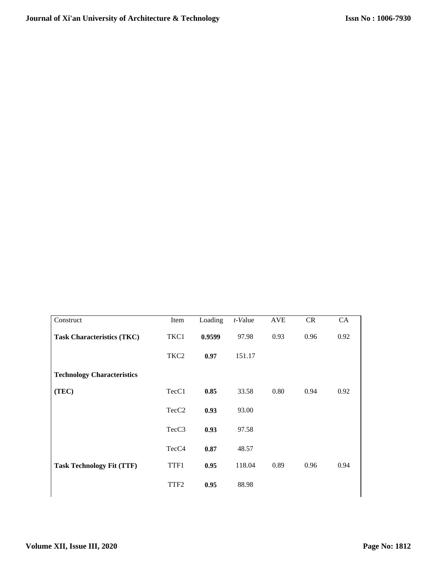| Construct                         | Item              | Loading | t-Value | <b>AVE</b> | CR   | CA   |
|-----------------------------------|-------------------|---------|---------|------------|------|------|
| <b>Task Characteristics (TKC)</b> | TKC1              | 0.9599  | 97.98   | 0.93       | 0.96 | 0.92 |
|                                   | TKC <sub>2</sub>  | 0.97    | 151.17  |            |      |      |
| <b>Technology Characteristics</b> |                   |         |         |            |      |      |
| (TEC)                             | TecC1             | 0.85    | 33.58   | 0.80       | 0.94 | 0.92 |
|                                   | TecC <sub>2</sub> | 0.93    | 93.00   |            |      |      |
|                                   | TecC3             | 0.93    | 97.58   |            |      |      |
|                                   | TecC <sub>4</sub> | 0.87    | 48.57   |            |      |      |
| <b>Task Technology Fit (TTF)</b>  | TTF1              | 0.95    | 118.04  | 0.89       | 0.96 | 0.94 |
|                                   | TTF <sub>2</sub>  | 0.95    | 88.98   |            |      |      |
|                                   |                   |         |         |            |      |      |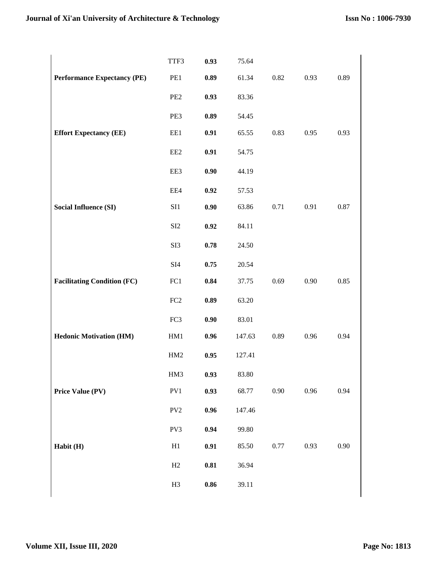|                                    | TTF3                        | 0.93       | 75.64  |      |      |      |
|------------------------------------|-----------------------------|------------|--------|------|------|------|
| <b>Performance Expectancy (PE)</b> | PE1                         | 0.89       | 61.34  | 0.82 | 0.93 | 0.89 |
|                                    | PE <sub>2</sub>             | 0.93       | 83.36  |      |      |      |
|                                    | PE3                         | 0.89       | 54.45  |      |      |      |
| <b>Effort Expectancy (EE)</b>      | EE1                         | 0.91       | 65.55  | 0.83 | 0.95 | 0.93 |
|                                    | EE <sub>2</sub>             | 0.91       | 54.75  |      |      |      |
|                                    | EE3                         | 0.90       | 44.19  |      |      |      |
|                                    | EE4                         | 0.92       | 57.53  |      |      |      |
| <b>Social Influence (SI)</b>       | SI1                         | 0.90       | 63.86  | 0.71 | 0.91 | 0.87 |
|                                    | SI2                         | 0.92       | 84.11  |      |      |      |
|                                    | SI3                         | 0.78       | 24.50  |      |      |      |
|                                    | $\ensuremath{\mathrm{SI4}}$ | 0.75       | 20.54  |      |      |      |
| <b>Facilitating Condition (FC)</b> | FC1                         | 0.84       | 37.75  | 0.69 | 0.90 | 0.85 |
|                                    | FC2                         | 0.89       | 63.20  |      |      |      |
|                                    | FC3                         | 0.90       | 83.01  |      |      |      |
| <b>Hedonic Motivation (HM)</b>     | HM1                         | 0.96       | 147.63 | 0.89 | 0.96 | 0.94 |
|                                    | HM2                         | 0.95       | 127.41 |      |      |      |
|                                    | HM3                         | 0.93       | 83.80  |      |      |      |
| Price Value (PV)                   | PV1                         | 0.93       | 68.77  | 0.90 | 0.96 | 0.94 |
|                                    | $PV2$                       | 0.96       | 147.46 |      |      |      |
|                                    | PV3                         | 0.94       | 99.80  |      |      |      |
| Habit (H)                          | H1                          | $0.91\,$   | 85.50  | 0.77 | 0.93 | 0.90 |
|                                    | H2                          | 0.81       | 36.94  |      |      |      |
|                                    | H <sub>3</sub>              | $\bf 0.86$ | 39.11  |      |      |      |
|                                    |                             |            |        |      |      |      |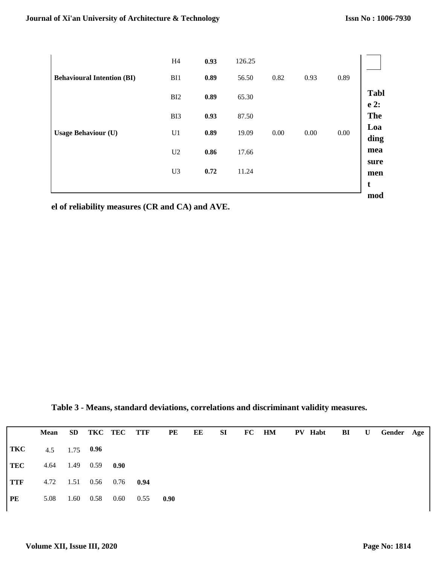|                                   | H <sub>4</sub> | 0.93 | 126.25 |      |      |      |                     |
|-----------------------------------|----------------|------|--------|------|------|------|---------------------|
| <b>Behavioural Intention (BI)</b> | BI1            | 0.89 | 56.50  | 0.82 | 0.93 | 0.89 |                     |
|                                   | BI2            | 0.89 | 65.30  |      |      |      | <b>Tabl</b><br>e 2: |
|                                   | BI3            | 0.93 | 87.50  |      |      |      | <b>The</b>          |
| <b>Usage Behaviour (U)</b>        | U1             | 0.89 | 19.09  | 0.00 | 0.00 | 0.00 | Loa<br>ding         |
|                                   | U2             | 0.86 | 17.66  |      |      |      | mea                 |
|                                   | U <sub>3</sub> | 0.72 | 11.24  |      |      |      | sure<br>men         |
|                                   |                |      |        |      |      |      | t<br>mod            |

**el of reliability measures (CR and CA) and AVE.**

**Table 3 - Means, standard deviations, correlations and discriminant validity measures.**

|     | <b>Mean</b>     |      |                |                          |      |      |  |  | SD TKC TEC TTF PE EE SI FC HM PV Habt BI U Gender Age |  |  |
|-----|-----------------|------|----------------|--------------------------|------|------|--|--|-------------------------------------------------------|--|--|
| TKC | 4.5 1.75 $0.96$ |      |                |                          |      |      |  |  |                                                       |  |  |
| TEC |                 |      | 4.64 1.49 0.59 | 0.90                     |      |      |  |  |                                                       |  |  |
| TTF |                 |      |                | 4.72 1.51 0.56 0.76 0.94 |      |      |  |  |                                                       |  |  |
| PE  | 5.08            | 1.60 | 0.58           | 0.60                     | 0.55 | 0.90 |  |  |                                                       |  |  |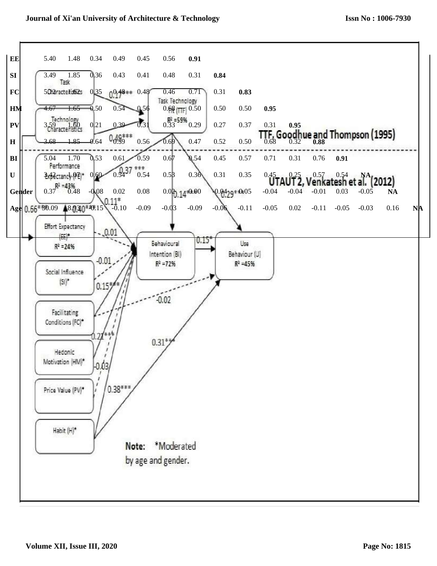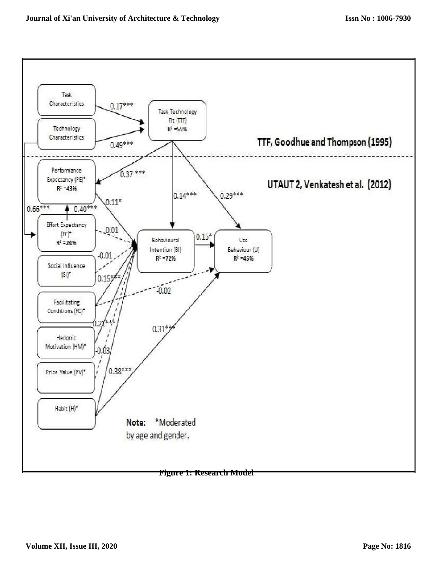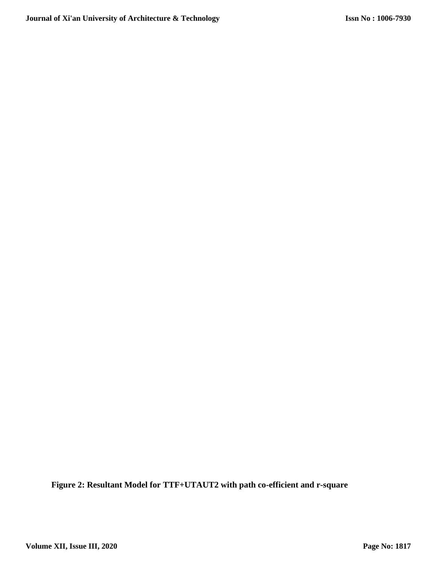**Figure 2: Resultant Model for TTF+UTAUT2 with path co-efficient and r-square**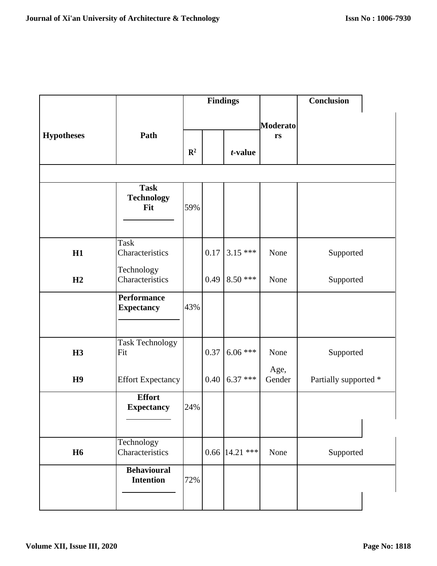|                   |                                         |                |      | <b>Findings</b>   |                 | Conclusion            |
|-------------------|-----------------------------------------|----------------|------|-------------------|-----------------|-----------------------|
|                   |                                         |                |      |                   | <b>Moderato</b> |                       |
| <b>Hypotheses</b> | Path                                    |                |      |                   | rs              |                       |
|                   |                                         | $\mathbb{R}^2$ |      | t-value           |                 |                       |
|                   |                                         |                |      |                   |                 |                       |
|                   | <b>Task</b><br><b>Technology</b><br>Fit | 59%            |      |                   |                 |                       |
|                   |                                         |                |      |                   |                 |                       |
| H1                | Task<br>Characteristics                 |                | 0.17 | $3.15***$         | None            | Supported             |
| H2                | Technology<br>Characteristics           |                | 0.49 | $8.50***$         | None            | Supported             |
|                   | <b>Performance</b><br><b>Expectancy</b> | 43%            |      |                   |                 |                       |
| <b>H3</b>         | <b>Task Technology</b><br>Fit           |                | 0.37 | $6.06$ ***        | None            | Supported             |
| H9                | <b>Effort Expectancy</b>                |                | 0.40 | $6.37$ ***        | Age,<br>Gender  | Partially supported * |
|                   | <b>Effort</b><br><b>Expectancy</b>      | 24%            |      |                   |                 |                       |
|                   |                                         |                |      |                   |                 |                       |
| <b>H6</b>         | Technology<br>Characteristics           |                |      | 0.66 $ 14.21*** $ | None            | Supported             |
|                   | <b>Behavioural</b><br><b>Intention</b>  | 72%            |      |                   |                 |                       |
|                   |                                         |                |      |                   |                 |                       |